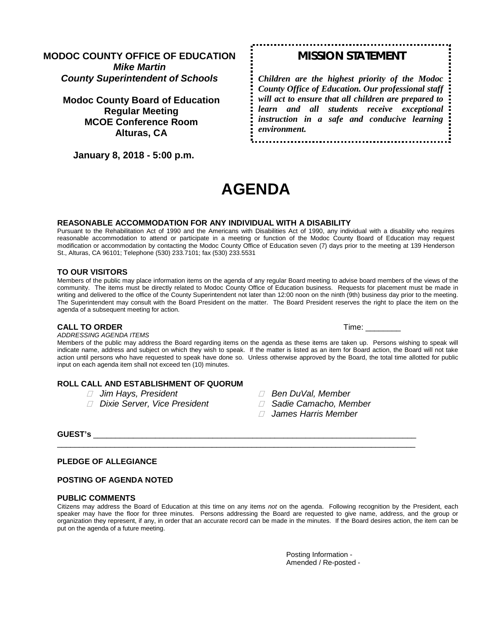# **MODOC COUNTY OFFICE OF EDUCATION** *Mike Martin County Superintendent of Schools*

**Modoc County Board of Education Regular Meeting MCOE Conference Room Alturas, CA**

 **January 8, 2018 - 5:00 p.m.** 

# *MISSION STATEMENT*

*Children are the highest priority of the Modoc County Office of Education. Our professional staff will act to ensure that all children are prepared to learn and all students receive exceptional instruction in a safe and conducive learning environment.*

# **AGENDA**

#### **REASONABLE ACCOMMODATION FOR ANY INDIVIDUAL WITH A DISABILITY**

Pursuant to the Rehabilitation Act of 1990 and the Americans with Disabilities Act of 1990, any individual with a disability who requires reasonable accommodation to attend or participate in a meeting or function of the Modoc County Board of Education may request modification or accommodation by contacting the Modoc County Office of Education seven (7) days prior to the meeting at 139 Henderson St., Alturas, CA 96101; Telephone (530) 233.7101; fax (530) 233.5531

#### **TO OUR VISITORS**

Members of the public may place information items on the agenda of any regular Board meeting to advise board members of the views of the community. The items must be directly related to Modoc County Office of Education business. Requests for placement must be made in writing and delivered to the office of the County Superintendent not later than 12:00 noon on the ninth (9th) business day prior to the meeting. The Superintendent may consult with the Board President on the matter. The Board President reserves the right to place the item on the agenda of a subsequent meeting for action.

#### **CALL TO ORDER Time:**  $\blacksquare$

*ADDRESSING AGENDA ITEMS*

Members of the public may address the Board regarding items on the agenda as these items are taken up. Persons wishing to speak will indicate name, address and subject on which they wish to speak. If the matter is listed as an item for Board action, the Board will not take action until persons who have requested to speak have done so. Unless otherwise approved by the Board, the total time allotted for public input on each agenda item shall not exceed ten (10) minutes.

# **ROLL CALL AND ESTABLISHMENT OF QUORUM**

- 
- *Dixie Server, Vice President Sadie Camacho, Member*
- *Jim Hays, President Ben DuVal, Member*
	-
	- *James Harris Member*

## **GUEST's** \_\_\_\_\_\_\_\_\_\_\_\_\_\_\_\_\_\_\_\_\_\_\_\_\_\_\_\_\_\_\_\_\_\_\_\_\_\_\_\_\_\_\_\_\_\_\_\_\_\_\_\_\_\_\_\_\_\_\_\_\_\_\_\_\_\_\_\_\_\_\_\_\_

#### **PLEDGE OF ALLEGIANCE**

#### **POSTING OF AGENDA NOTED**

#### **PUBLIC COMMENTS**

Citizens may address the Board of Education at this time on any items *not* on the agenda. Following recognition by the President, each speaker may have the floor for three minutes. Persons addressing the Board are requested to give name, address, and the group or organization they represent, if any, in order that an accurate record can be made in the minutes. If the Board desires action, the item can be put on the agenda of a future meeting.

\_\_\_\_\_\_\_\_\_\_\_\_\_\_\_\_\_\_\_\_\_\_\_\_\_\_\_\_\_\_\_\_\_\_\_\_\_\_\_\_\_\_\_\_\_\_\_\_\_\_\_\_\_\_\_\_\_\_\_\_\_\_\_\_\_\_\_\_\_\_\_\_\_\_\_\_\_\_\_\_\_

Posting Information - Amended / Re-posted -